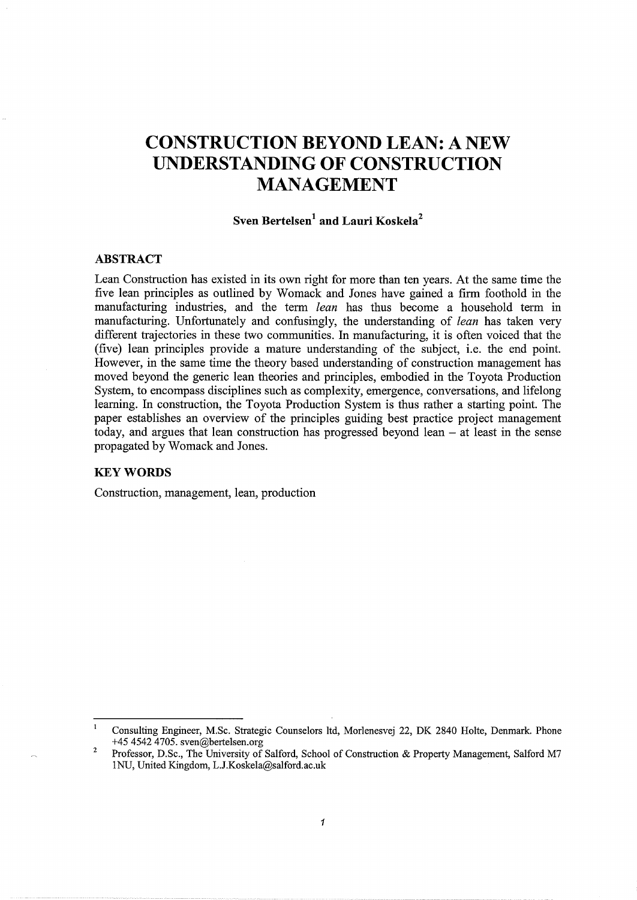# **CONSTRUCTION BEYOND LEAN: A NEW UNDERSTANDING OF CONSTRUCTION MANAGEMENT**

# **Sven Bertelsen<sup>1</sup> and Lauri Koskela<sup>2</sup>**

## **ABSTRACT**

Lean Construction has existed in its own right for more than ten years. At the same time the five lean principles as outlined by Womack and Jones have gained a firm foothold in the manufacturing industries, and the term *lean* has thus become a household term in manufacturing. Unfortunately and confusingly, the understanding of *lean* has taken very different trajectories in these two communities. In manufacturing, it is often voiced that the (five) lean principles provide a mature understanding of the subject, i.e. the end point. However, in the same time the theory based understanding of construction management has moved beyond the generic lean theories and principles, embodied in the Toyota Production System, to encompass disciplines such as complexity, emergence, conversations, and lifelong learning. In construction, the Toyota Production System is thus rather a starting point. The paper establishes an overview of the principles guiding best practice project management today, and argues that lean construction has progressed beyond lean - at least in the sense propagated by Womack and Jones.

## **KEYWORDS**

Construction, management, lean, production

Consulting Engineer, M.Sc. Strategic Counselors ltd, Morlenesvej 22, DK 2840 Holte, Denmark. Phone +45 4542 4705. sven@bertelsen.org

<sup>2</sup>  Professor, D.Sc., The University of Salford, School of Construction & Property Management, Salford M7 lNU, United Kingdom, L.J.Koskela@salford.ac.uk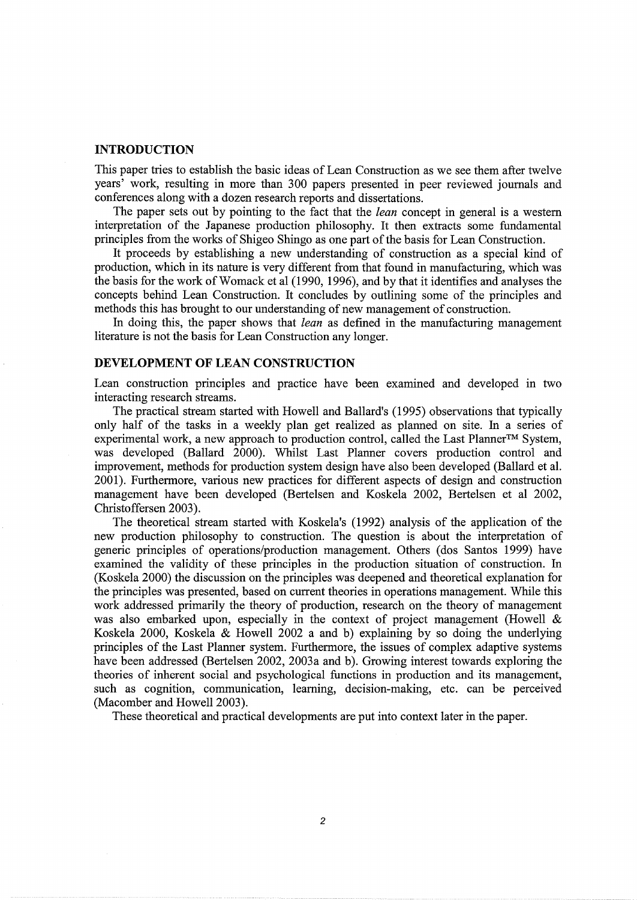#### **INTRODUCTION**

This paper tries to establish the basic ideas of Lean Construction as we see them after twelve years' work, resulting in more than 300 papers presented in peer reviewed journals and conferences along with a dozen research reports and dissertations.

The paper sets out by pointing to the fact that the *lean* concept in general is a western interpretation of the Japanese production philosophy. It then extracts some fundamental principles from the works of Shigeo Shingo as one part of the basis for Lean Construction.

It proceeds by establishing a new understanding of construction as a special kind of production, which in its nature is very different from that found in manufacturing, which was the basis for the work of Womack et al (1990, 1996), and by that it identifies and analyses the concepts behind Lean Construction. It concludes by outlining some of the principles and methods this has brought to our understanding of new management of construction.

In doing this, the paper shows that *lean* as defined in the manufacturing management literature is not the basis for Lean Construction any longer.

## **DEVELOPMENT OF LEAN CONSTRUCTION**

Lean construction principles and practice have been examined and developed in two interacting research streams.

The practical stream started with Howell and Ballard's (1995) observations that typically only half of the tasks in a weekly plan get realized as planned on site. In a series of experimental work, a new approach to production control, called the Last Planner™ System, was developed (Ballard 2000). Whilst Last Planner covers production control and improvement, methods for production system design have also been developed (Ballard et al. 2001). Furthermore, various new practices for different aspects of design and construction management have been developed (Bertelsen and Koskela 2002, Bertelsen et al 2002, Christoffersen 2003).

The theoretical stream started with Koskela's (1992) analysis of the application of the new production philosophy to construction. The question is about the interpretation of generic principles of operations/production management. Others ( dos Santos 1999) have examined the validity of these principles in the production situation of construction. In (Koskela 2000) the discussion on the principles was deepened and theoretical explanation for the principles was presented, based on current theories in operations management. While this work addressed primarily the theory of production, research on the theory of management was also embarked upon, especially in the context of project management (Howell & Koskela 2000, Koskela & Howell 2002 a and b) explaining by so doing the underlying principles of the Last Planner system. Furthermore, the issues of complex adaptive systems have been addressed (Bertelsen 2002, 2003a and b). Growing interest towards exploring the theories of inherent social and psychological functions in production and its management, such as cognition, communication, learning, decision-making, etc. can be perceived (Macomber and Howell 2003).

These theoretical and practical developments are put into context later in the paper.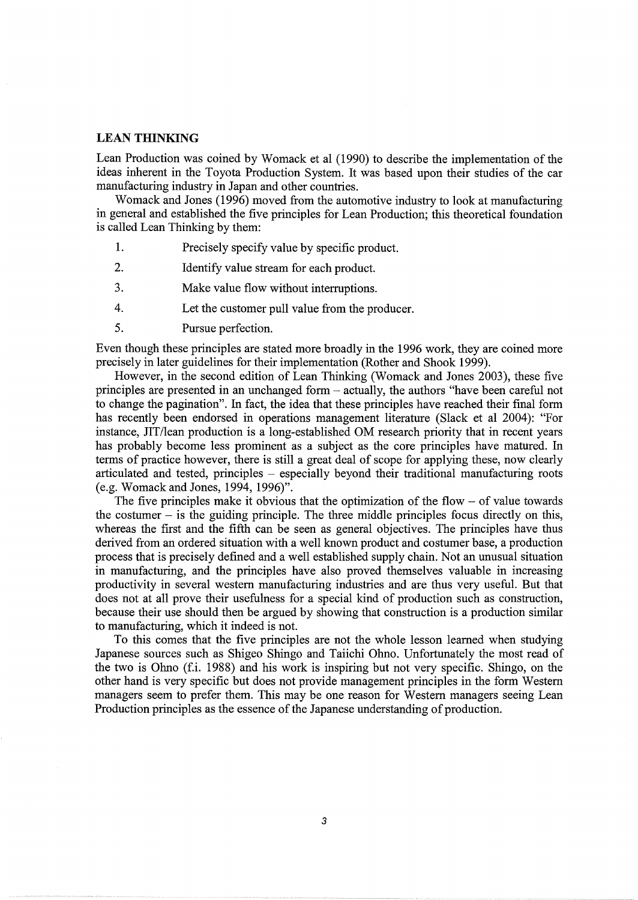## **LEAN THINKING**

Lean Production was coined by Womack et al (1990) to describe the implementation of the ideas inherent in the Toyota Production System. It was based upon their studies of the car manufacturing industry in Japan and other countries.

Womack and Jones (1996) moved from the automotive industry to look at manufacturing in general and established the five principles for Lean Production; this theoretical foundation is called Lean Thinking by them:

- 1. Precisely specify value by specific product.
- 2. Identify value stream for each product.
- 3. Make value flow without interruptions.
- 4. Let the customer pull value from the producer.
- 5. Pursue perfection.

Even though these principles are stated more broadly in the 1996 work, they are coined more precisely in later guidelines for their implementation (Rother and Shook 1999).

However, in the second edition of Lean Thinking (Womack and Jones 2003), these five principles are presented in an unchanged form - actually, the authors "have been careful not to change the pagination". In fact, the idea that these principles have reached their final form has recently been endorsed in operations management literature (Slack et al 2004): "For instance, JIT/lean production is a long-established OM research priority that in recent years has probably become less prominent as a subject as the core principles have matured. In terms of practice however, there is still a great deal of scope for applying these, now clearly articulated and tested, principles - especially beyond their traditional manufacturing roots (e.g. Womack and Jones, 1994, 1996)".

The five principles make it obvious that the optimization of the flow  $-$  of value towards the costumer  $-$  is the guiding principle. The three middle principles focus directly on this, whereas the first and the fifth can be seen as general objectives. The principles have thus derived from an ordered situation with a well known product and costumer base, a production process that is precisely defined and a well established supply chain. Not an unusual situation in manufacturing, and the principles have also proved themselves valuable in increasing productivity in several western manufacturing industries and are thus very useful. But that does not at all prove their usefulness for a special kind of production such as construction, because their use should then be argued by showing that construction is a production similar to manufacturing, which it indeed is not.

To this comes that the five principles are not the whole lesson learned when studying Japanese sources such as Shigeo Shingo and Taiichi Ohno. Unfortunately the most read of the two is Ohno (f.i. 1988) and his work is inspiring but not very specific. Shingo, on the other hand is very specific but does not provide management principles in the form Western managers seem to prefer them. This may be one reason for Western managers seeing Lean Production principles as the essence of the Japanese understanding of production.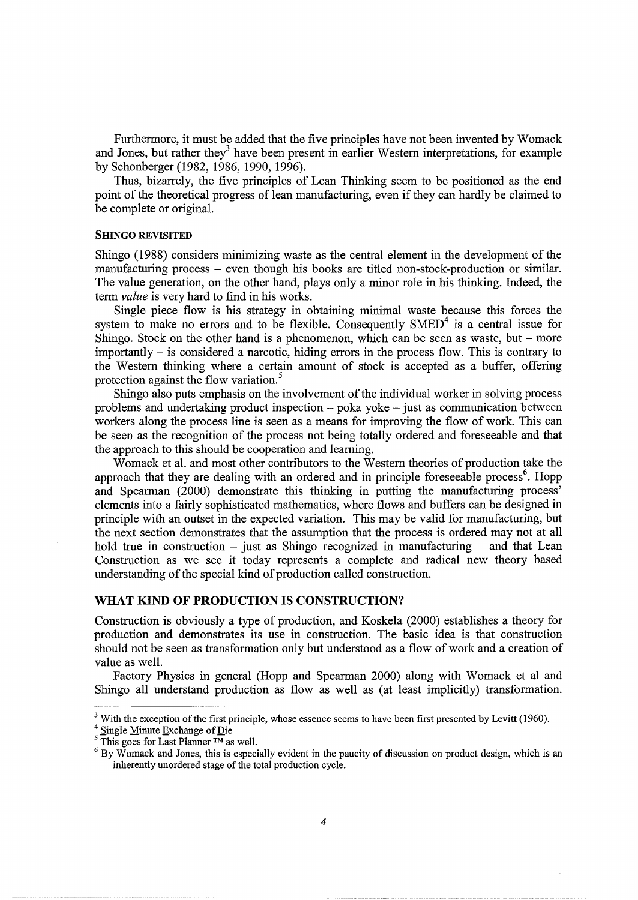Furthermore, it must be added that the five principles have not been invented by Womack and Jones, but rather they<sup>3</sup> have been present in earlier Western interpretations, for example by Schonberger (1982, 1986, 1990, 1996).

Thus, bizarrely, the five principles of Lean Thinking seem to be positioned as the end point of the theoretical progress of lean manufacturing, even if they can hardly be claimed to be complete or original.

#### **SHINGO REVISITED**

Shingo (1988) considers minimizing waste as the central element in the development of the manufacturing process - even though his books are titled non-stock-production or similar. The value generation, on the other hand, plays only a minor role in his thinking. Indeed, the term *value* is very hard to find in his works.

Single piece flow is his strategy in obtaining minimal waste because this forces the system to make no errors and to be flexible. Consequently  $SMED<sup>4</sup>$  is a central issue for Shingo. Stock on the other hand is a phenomenon, which can be seen as waste, but  $-$  more  $importantly - is considered a macrotic, hiding errors in the process flow. This is contrary to$ the Western thinking where a certain amount of stock is accepted as a buffer, offering protection against the flow variation.<sup>5</sup>

Shingo also puts emphasis on the involvement of the individual worker in solving process problems and undertaking product inspection  $-$  poka yoke  $-$  just as communication between workers along the process line is seen as a means for improving the flow of work. This can be seen as the recognition of the process not being totally ordered and foreseeable and that the approach to this should be cooperation and learning.

Womack et al. and most other contributors to the Western theories of production take the approach that they are dealing with an ordered and in principle foreseeable process<sup>6</sup>. Hopp and Spearman (2000) demonstrate this thinking in putting the manufacturing process' elements into a fairly sophisticated mathematics, where flows and buffers can be designed in principle with an outset in the expected variation. This may be valid for manufacturing, but the next section demonstrates that the assumption that the process is ordered may not at all hold true in construction - just as Shingo recognized in manufacturing - and that Lean Construction as we see it today represents a complete and radical new theory based understanding of the special kind of production called construction.

## **WHAT KIND OF PRODUCTION IS CONSTRUCTION?**

Construction is obviously a type of production, and Koskela (2000) establishes a theory for production and demonstrates its use in construction. The basic idea is that construction should not be seen as transformation only but understood as a flow of work and a creation of value as well.

Factory Physics in general (Hopp and Spearman 2000) along with Womack et al and Shingo all understand production as flow as well as (at least implicitly) transformation.

<sup>&</sup>lt;sup>3</sup> With the exception of the first principle, whose essence seems to have been first presented by Levitt (1960).<br><sup>4</sup> Single Minute Exchange of Die<br><sup>5</sup> This goes for Last Planner <sup>TM</sup> as well.<br><sup>6</sup> By Womack and Jones, thi inherently unordered stage of the total production cycle.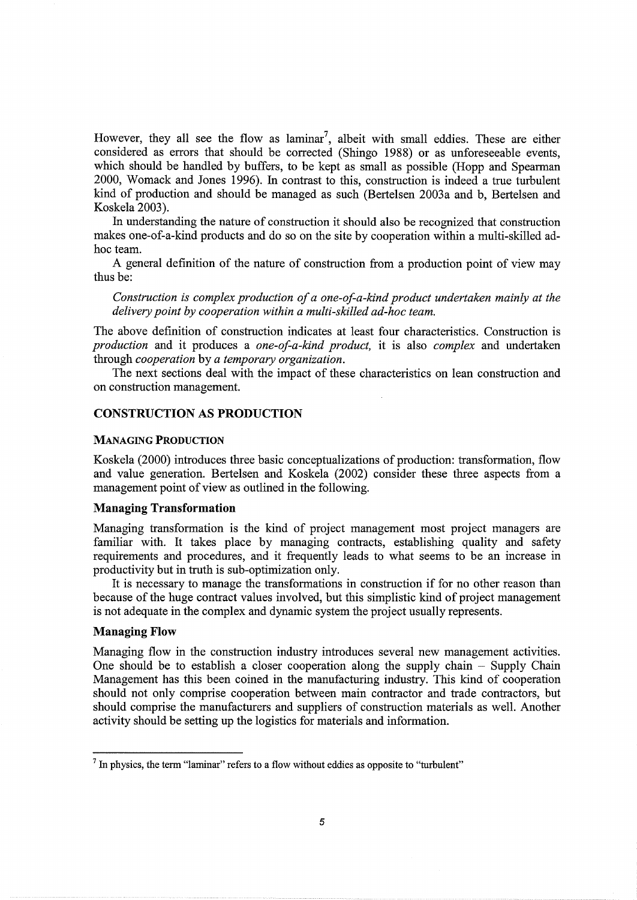However, they all see the flow as laminar<sup>7</sup>, albeit with small eddies. These are either considered as errors that should be corrected (Shingo 1988) or as unforeseeable events, which should be handled by buffers, to be kept as small as possible (Hopp and Spearman 2000, Womack and Jones 1996). In contrast to this, construction is indeed a true turbulent kind of production and should be managed as such (Bertelsen 2003a and b, Bertelsen and Koskela 2003).

In understanding the nature of construction it should also be recognized that construction makes one-of-a-kind products and do so on the site by cooperation within a multi-skilled adhoc team.

A general definition of the nature of construction from a production point of view may thus be:

*Construction is complex production of a one-of-a-kind product undertaken mainly at the delivery point by cooperation within a multi-skilled ad-hoc team.* 

The above definition of construction indicates at least four characteristics. Construction is *production* and it produces a *one-of-a-kind product,* it is also *complex* and undertaken through *cooperation* by *a temporary organization.* 

The next sections deal with the impact of these characteristics on lean construction and on construction management.

# **CONSTRUCTION AS PRODUCTION**

#### MANAGING PRODUCTION

Koskela (2000) introduces three basic conceptualizations of production: transformation, flow and value generation. Bertelsen and Koskela (2002) consider these three aspects from a management point of view as outlined in the following.

## **Managing Transformation**

Managing transformation is the kind of project management most project managers are familiar with. It takes place by managing contracts, establishing quality and safety requirements and procedures, and it frequently leads to what seems to be an increase in productivity but in truth is sub-optimization only.

It is necessary to manage the transformations in construction if for no other reason than because of the huge contract values involved, but this simplistic kind of project management is not adequate in the complex and dynamic system the project usually represents.

## **Managing Flow**

Managing flow in the construction industry introduces several new management activities. One should be to establish a closer cooperation along the supply chain - Supply Chain Management has this been coined in the manufacturing industry. This kind of cooperation should not only comprise cooperation between main contractor and trade contractors, but should comprise the manufacturers and suppliers of construction materials as well. Another activity should be setting up the logistics for materials and information.

 $<sup>7</sup>$  In physics, the term "laminar" refers to a flow without eddies as opposite to "turbulent"</sup>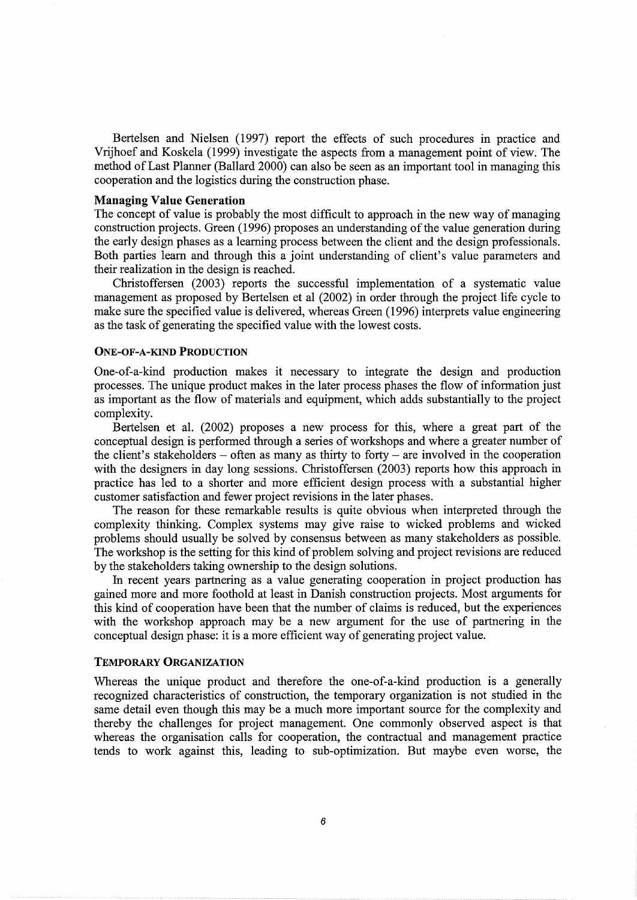Bertelsen and Nielsen (1997) report the effects of such procedures in practice and Vrijhoef and Koskela (1999) investigate the aspects from a management point of view. The method of Last Planner (Ballard 2000) can also be seen as an important tool in managing this cooperation and the logistics during the construction phase.

#### **Managing Value Generation**

The concept of value is probably the most difficult to approach in the new way of managing construction projects. Green (1996) proposes an understanding of the value generation during the early design phases as a learning process between the client and the design professionals. Both parties learn and through this a joint understanding of client's value parameters and their realization in the design is reached.

Christoffersen (2003) reports the successful implementation of a systematic value management as proposed by Bertelsen et al (2002) in order through the project life cycle to make sure the specified value is delivered, whereas Green (1996) interprets value engineering as the task of generating the specified value with the lowest costs.

## ONE-OF-A-KIND PRODUCTION

One-of-a-kind production makes it necessary to integrate the design and production processes. The unique product makes in the later process phases the flow of information just as important as the flow of materials and equipment, which adds substantially to the project complexity.

Bertelsen et al. (2002) proposes a new process for this, where a great part of the conceptual design is performed through a series of workshops and where a greater number of the client's stakeholders – often as many as thirty to forty – are involved in the cooperation with the designers in day long sessions. Christoffersen (2003) reports how this approach in practice has led to a shorter and more efficient design process with a substantial higher customer satisfaction and fewer project revisions in the later phases.

The reason for these remarkable results is quite obvious when interpreted through the complexity thinking. Complex systems may give raise to wicked problems and wicked problems should usually be solved by consensus between as many stakeholders as possible. The workshop is the setting for this kind of problem solving and project revisions are reduced by the stakeholders taking ownership to the design solutions.

In recent years partnering as a value generating cooperation in project production has gained more and more foothold at least in Danish construction projects. Most arguments for this kind of cooperation have been that the number of claims is reduced, but the experiences with the workshop approach may be a new argument for the use of partnering in the conceptual design phase: it is a more efficient way of generating project value.

#### TEMPORARY ORGANIZATION

Whereas the unique product and therefore the one-of-a-kind production is a generally recognized characteristics of construction, the temporary organization is not studied in the same detail even though this may be a much more important source for the complexity and thereby the challenges for project management. One commonly observed aspect is that whereas the organisation calls for cooperation, the contractual and management practice tends to work against this, leading to sub-optimization. But maybe even worse, the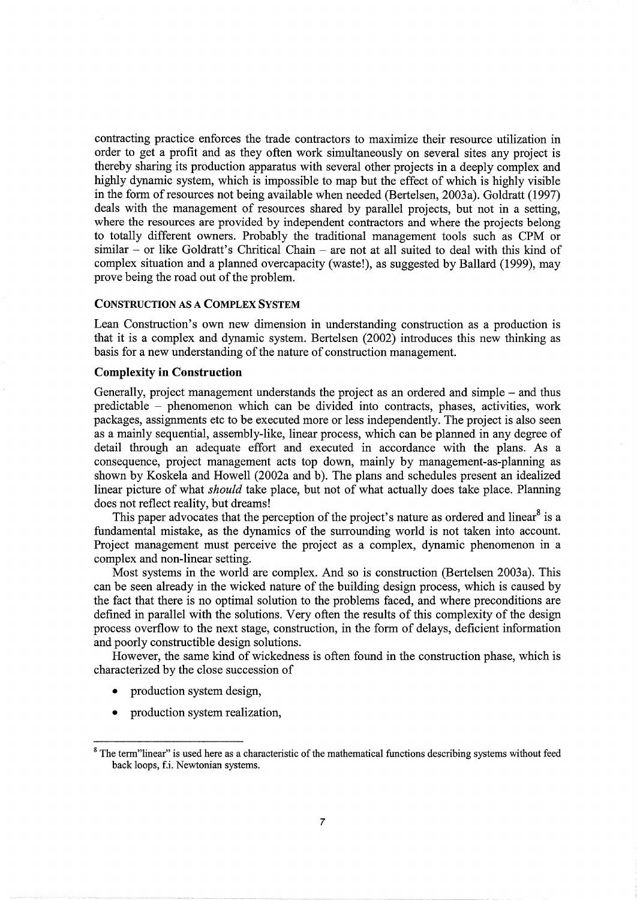contracting practice enforces the trade contractors to maximize their resource utilization in order to get a profit and as they often work simultaneously on several sites any project is thereby sharing its production apparatus with several other projects in a deeply complex and highly dynamic system, which is impossible to map but the effect of which is highly visible in the form of resources not being available when needed (Bertelsen, 2003a). Goldratt (1997) deals with the management of resources shared by parallel projects, but not in a setting, where the resources are provided by independent contractors and where the projects belong to totally different owners. Probably the traditional management tools such as CPM or similar - or like Goldratt's Chritical Chain - are not at all suited to deal with this kind of complex situation and a planned overcapacity (waste!), as suggested by Ballard (1999), may prove being the road out of the problem.

#### CONSTRUCTION AS A COMPLEX SYSTEM

Lean Construction's own new dimension in understanding construction as a production is that it is a complex and dynamic system. Bertelsen (2002) introduces this new thinking as basis for a new understanding of the nature of construction management.

## Complexity in Construction

Generally, project management understands the project as an ordered and simple - and thus predictable - phenomenon which can be divided into contracts, phases, activities, work packages, assignments etc to be executed more or less independently. The project is also seen as a mainly sequential, assembly-like, linear process, which can be planned in any degree of detail through an adequate effort and executed in accordance with the plans. As a consequence, project management acts top down, mainly by management-as-planning as shown by Koskela and Howell (2002a and b). The plans and schedules present an idealized linear picture of what *should* take place, but not of what actually does take place. Planning does not reflect reality, but dreams!

This paper advocates that the perception of the project's nature as ordered and linear  $8$  is a fundamental mistake, as the dynamics of the surrounding world is not taken into account. Project management must perceive the project as a complex, dynamic phenomenon in a complex and non-linear setting.

Most systems in the world are complex. And so is construction (Bertelsen 2003a). This can be seen already in the wicked nature of the building design process, which is caused by the fact that there is no optimal solution to the problems faced, and where preconditions are defined in parallel with the solutions. Very often the results of this complexity of the design process overflow to the next stage, construction, in the form of delays, deficient information and poorly constructible design solutions.

However, the same kind of wickedness is often found in the construction phase, which is characterized by the close succession of

- production system design,
- production system realization,

<sup>&</sup>lt;sup>8</sup> The term"linear" is used here as a characteristic of the mathematical functions describing systems without feed back loops, f.i. Newtonian systems.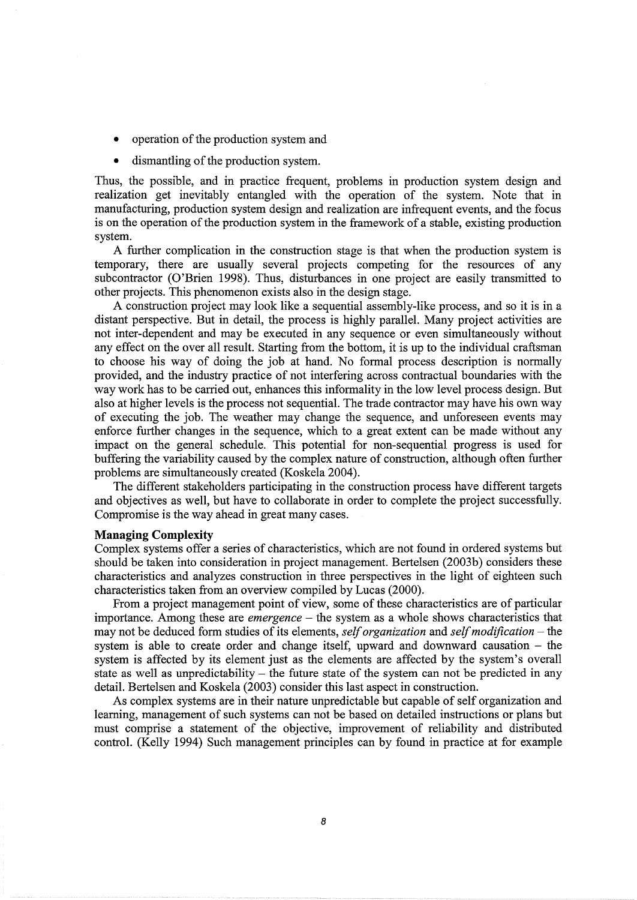- operation of the production system and
- dismantling of the production system.

Thus, the possible, and in practice frequent, problems in production system design and realization get inevitably entangled with the operation of the system. Note that in manufacturing, production system design and realization are infrequent events, and the focus is on the operation of the production system in the framework of a stable, existing production system.

A further complication in the construction stage is that when the production system is temporary, there are usually several projects competing for the resources of any subcontractor (O'Brien 1998). Thus, disturbances in one project are easily transmitted to other projects. This phenomenon exists also in the design stage.

A construction project may look like a sequential assembly-like process, and so it is in a distant perspective. But in detail, the process is highly parallel. Many project activities are not inter-dependent and may be executed in any sequence or even simultaneously without any effect on the over all result. Starting from the bottom, it is up to the individual craftsman to choose his way of doing the job at hand. No formal process description is normally provided, and the industry practice of not interfering across contractual boundaries with the way work has to be carried out, enhances this informality in the low level process design. But also at higher levels is the process not sequential. The trade contractor may have his own way of executing the job. The weather may change the sequence, and unforeseen events may enforce further changes in the sequence, which to a great extent can be made without any impact on the general schedule. This potential for non-sequential progress is used for buffering the variability caused by the complex nature of construction, although often further problems are simultaneously created (Koskela 2004).

The different stakeholders participating in the construction process have different targets and objectives as well, but have to collaborate in order to complete the project successfully. Compromise is the way ahead in great many cases.

#### **Managing Complexity**

Complex systems offer a series of characteristics, which are not found in ordered systems but should be taken into consideration in project management. Bertelsen (2003b) considers these characteristics and analyzes construction in three perspectives in the light of eighteen such characteristics taken from an overview compiled by Lucas (2000).

From a project management point of view, some of these characteristics are of particular importance. Among these are *emergence* – the system as a whole shows characteristics that may not be deduced form studies of its elements, *self organization* and *self modification* – the system is able to create order and change itself, upward and downward causation - the system is affected by its element just as the elements are affected by the system's overall state as well as unpredictability  $-$  the future state of the system can not be predicted in any detail. Bertelsen and Koskela (2003) consider this last aspect in construction.

As complex systems are in their nature unpredictable but capable of self organization and learning, management of such systems can not be based on detailed instructions or plans but must comprise a statement of the objective, improvement of reliability and distributed control. (Kelly 1994) Such management principles can by found in practice at for example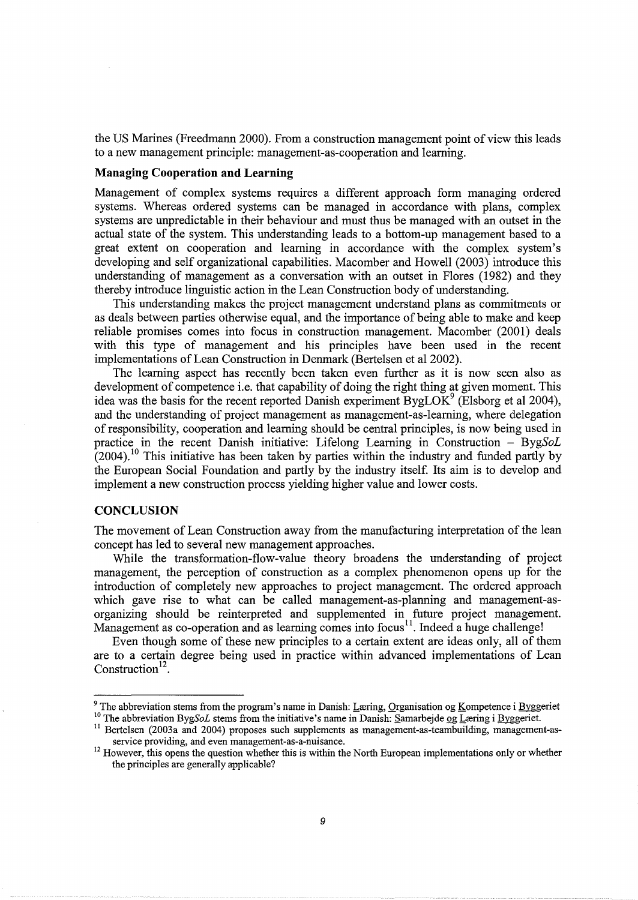the US Marines (Freedmann 2000). From a construction management point of view this leads to a new management principle: management-as-cooperation and learning.

## **Managing Cooperation and Learning**

Management of complex systems requires a different approach form managing ordered systems. Whereas ordered systems can be managed in accordance with plans, complex systems are unpredictable in their behaviour and must thus be managed with an outset in the actual state of the system. This understanding leads to a bottom-up management based to a great extent on cooperation and learning in accordance with the complex system's developing and self organizational capabilities. Macomber and Howell (2003) introduce this understanding of management as a conversation with an outset in Flores (1982) and they thereby introduce linguistic action in the Lean Construction body of understanding.

This understanding makes the project management understand plans as commitments or as deals between parties otherwise equal, and the importance of being able to make and keep reliable promises comes into focus in construction management. Macomber (2001) deals with this type of management and his principles have been used in the recent implementations of Lean Construction in Denmark (Bertelsen et al 2002).

The learning aspect has recently been taken even further as it is now seen also as development of competence i.e. that capability of doing the right thing at given moment. This idea was the basis for the recent reported Danish experiment  $BygLOK<sup>9</sup>$  (Elsborg et al 2004), and the understanding of project management as management-as-learning, where delegation of responsibility, cooperation and learning should be central principles, is now being used in practice in the recent Danish initiative: Lifelong Learning in Construction - *BygSoL*   $(2004)$ .<sup>10</sup> This initiative has been taken by parties within the industry and funded partly by the European Social Foundation and partly by the industry itself. Its aim is to develop and implement a new construction process yielding higher value and lower costs.

### **CONCLUSION**

The movement of Lean Construction away from the manufacturing interpretation of the lean concept has led to several new management approaches.

While the transformation-flow-value theory broadens the understanding of project management, the perception of construction as a complex phenomenon opens up for the introduction of completely new approaches to project management. The ordered approach which gave rise to what can be called management-as-planning and management-asorganizing should be reinterpreted and supplemented in future project management. Management as co-operation and as learning comes into focus<sup>11</sup>. Indeed a huge challenge!

Even though some of these new principles to a certain extent are ideas only, all of them are to a certain degree being used in practice within advanced implementations of Lean Construction<sup>12</sup>.

<sup>&</sup>lt;sup>9</sup> The abbreviation stems from the program's name in Danish: Læring, Organisation og Kompetence i Byggeriet <sup>10</sup> The abbreviation Byg*SoL* stems from the initiative's name in Danish: Samarbejde <u>og L</u>æring i Byggeriet.<br><sup></sup>

service providing, and even management-as-a-nuisance.<br><sup>12</sup> However, this opens the question whether this is within the North European implementations only or whether the principles are generally applicable?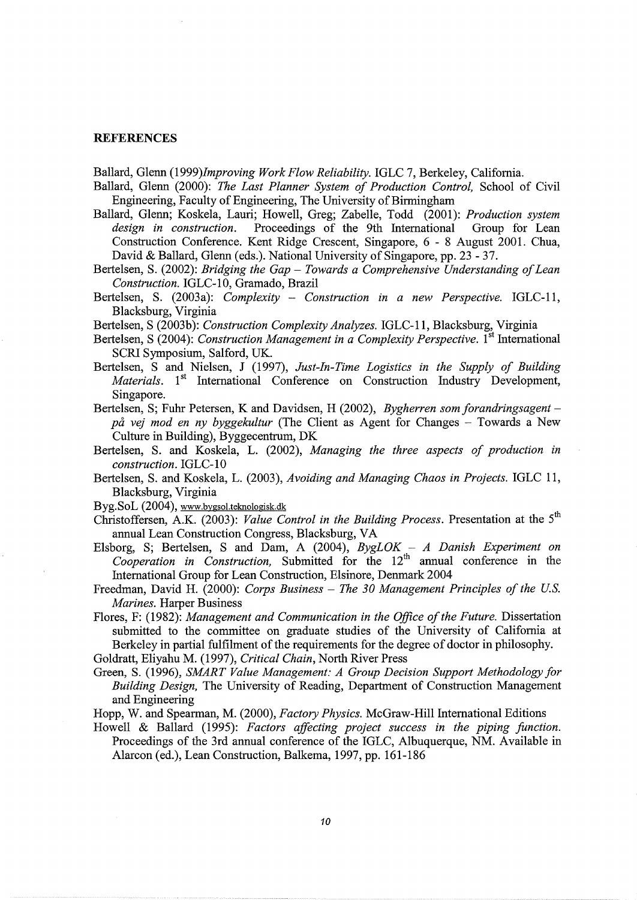#### **REFERENCES**

Ballard, Glenn *(1999)Improving Work Flow Reliability.* IGLC 7, Berkeley, California.

- Ballard, Glenn (2000): *The Last Planner System of Production Control,* School of Civil Engineering, Faculty of Engineering, The University of Birmingham
- Ballard, Glenn; Koskela, Lauri; Howell, Greg; Zabelle, Todd (2001): *Production system*  Proceedings of the 9th International Group for Lean Construction Conference. Kent Ridge Crescent, Singapore, 6 - 8 August 2001. Chua, David & Ballard, Glenn (eds.). National University of Singapore, pp. 23 - 37.
- Bertelsen, S. (2002): *Bridging the Gap Towards a Comprehensive Understanding of Lean Construction.* IGLC-1 0, Gramado, Brazil
- Bertelsen, S. (2003a): *Complexity Construction in a new Perspective.* IGLC-11, Blacksburg, Virginia

Bertelsen, S (2003b): *Construction Complexity Analyzes.* IGLC-11, Blacksburg, Virginia

- Bertelsen, S (2004): *Construction Management in a Complexity Perspective*. 1<sup>st</sup> International SCRI Symposium, Salford, UK.
- Bertelsen, S and Nielsen, J (1997), *Just-In-Time Logistics in the Supply of Building Materials.* 1<sup>st</sup> International Conference on Construction Industry Development, Singapore.
- Bertelsen, S; Fuhr Petersen, K and Davidsen, H (2002), *Bygherren som forandringsagentpa vej mod en ny byggekultur* (The Client as Agent for Changes - Towards a New Culture in Building), Byggecentrum, DK
- Bertelsen, S. and Koskela, L. (2002), *Managing the three aspects of production in construction.* IGLC-10
- Bertelsen, S. and Koskela, L. (2003), *Avoiding and Managing Chaos in Projects.* IGLC 11, Blacksburg, Virginia

Byg.SoL (2004), www.bygsol.teknologisk.dk

Christoffersen, A.K. (2003): *Value Control in the Building Process*. Presentation at the 5<sup>th</sup> annual Lean Construction Congress, Blacksburg, VA

- Elsborg, S; Bertelsen, S and Dam, A (2004), *BygLOK A Danish Experiment on Cooperation in Construction*, Submitted for the  $12<sup>th</sup>$  annual conference in the International Group for Lean Construction, Elsinore, Denmark 2004
- Freedman, David H. (2000): *Corps Business The 30 Management Principles of the US. Marines.* Harper Business
- Flores, F: (1982): *Management and Communication in the Office of the Future.* Dissertation submitted to the committee on graduate studies of the University of California at Berkeley in partial fulfilment of the requirements for the degree of doctor in philosophy.

Goldratt, Eliyahu M. (1997), *Critical Chain,* North River Press

Green, S. (1996), *SMART Value Management: A Group Decision Support Methodology for Building Design,* The University of Reading, Department of Construction Management and Engineering

Hopp, W. and Spearman, M. (2000), *Factory Physics.* McGraw-Hill International Editions

Howell & Ballard (1995): *Factors affecting project success in the piping function.*  Proceedings of the 3rd annual conference of the IGLC, Albuquerque, NM. Available in Alarcon (ed.), Lean Construction, Balkema, 1997, pp. 161-186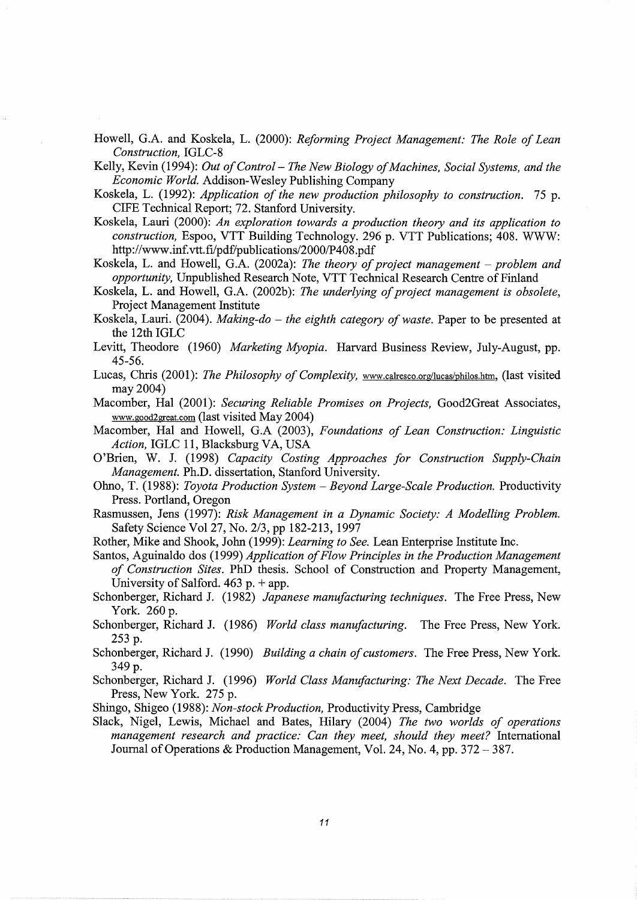Howell, G.A. and Koskela, L. (2000): *Reforming Project Management: The Role of Lean Construction,* IGLC-8

Kelly, Kevin (1994): *Out of Control- The New Biology of Machines, Social Systems, and the Economic World.* Addison-Wesley Publishing Company

- Koskela, L. (1992): *Application of the new production philosophy to construction.* 75 p. CIFE Technical Report; 72. Stanford University.
- Koskela, Lauri (2000): *An exploration towards a production theory and its application to construction,* Espoo, VTT Building Technology. 296 p. VTT Publications; 408. WWW: http://www.inf.vtt.fi/pdf/publications/2000/P408.pdf
- Koskela, L. and Howell, G.A. (2002a): *The theory of project management- problem and opportunity,* Unpublished Research Note, VTT Technical Research Centre of Finland
- Koskela, L. and Howell, G.A. (2002b): *The underlying of project management is obsolete*, Project Management Institute
- Koskela, Lauri. (2004). *Making-do the eighth category of waste*. Paper to be presented at the 12th IGLC
- Levitt, Theodore (1960) *Marketing Myopia.* Harvard Business Review, July-August, pp. 45-56.
- Lucas, Chris (2001): *The Philosophy of Complexity*, www.calresco.org/lucas/philos.htm, (last visited may 2004)
- Macomber, Hal (2001): *Securing Reliable Promises on Projects,* Good2Great Associates, www.good2great.com (last visited May 2004)
- Macomber, Hal and Howell, G.A (2003), *Foundations of Lean Construction: Linguistic Action,* IGLC 11, Blacksburg VA, USA
- O'Brien, W. J. (1998) *Capacity Costing Approaches for Construction Supply-Chain Management.* Ph.D. dissertation, Stanford University.
- Ohno, T. (1988): *Toyota Production System- Beyond Large-Scale Production.* Productivity Press. Portland, Oregon
- Rasmussen, Jens (1997): *Risk Management in a Dynamic Society: A Modelling Problem.*  Safety Science Vol27, No. 2/3, pp 182-213, 1997
- Rother, Mike and Shook, John (1999): *Learning to See.* Lean Enterprise Institute Inc.
- Santos, Aguinaldo dos (1999) *Application of Flow Principles in the Production Management of Construction Sites.* PhD thesis. School of Construction and Property Management, University of Salford.  $463$  p. + app.
- Schonberger, Richard J. (1982) *Japanese manufacturing techniques.* The Free Press, New York. 260 p.
- Schonberger, Richard J. (1986) *World class manufacturing.* The Free Press, New York. 253 p.
- Schonberger, Richard J. (1990) *Building a chain of customers.* The Free Press, New York. 349 p.
- Schonberger, Richard J. (1996) *World Class Manufacturing: The Next Decade.* The Free Press, New York. 275 p.
- Shingo, Shigeo (1988): *Non-stock Production,* Productivity Press, Cambridge
- Slack, Nigel, Lewis, Michael and Bates, Hilary (2004) *The two worlds of operations management research and practice: Can they meet, should they meet?* International Journal of Operations & Production Management, Vol. 24, No.4, pp. 372-387.